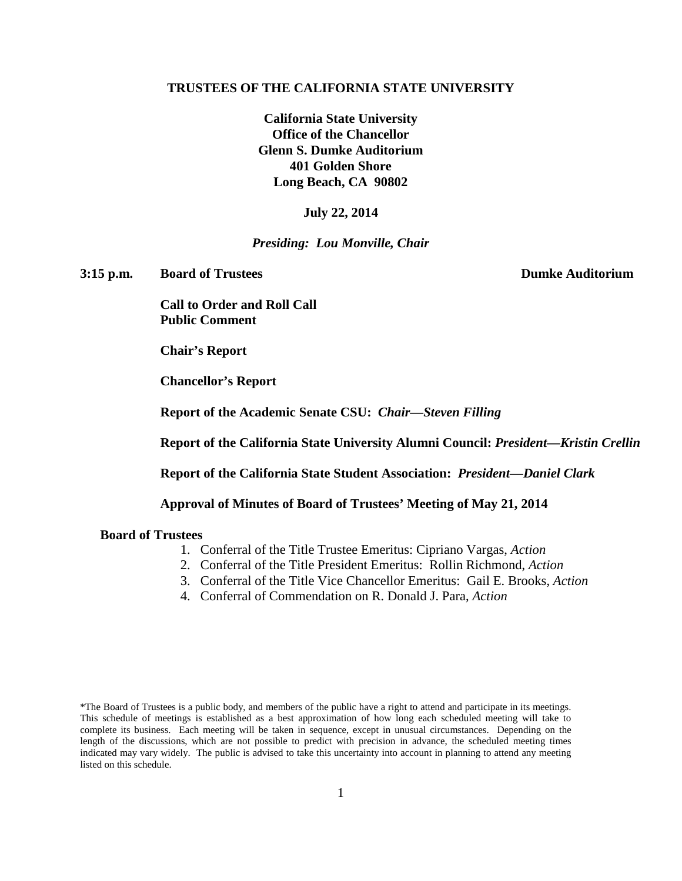#### **TRUSTEES OF THE CALIFORNIA STATE UNIVERSITY**

**California State University Office of the Chancellor Glenn S. Dumke Auditorium 401 Golden Shore Long Beach, CA 90802**

#### **July 22, 2014**

#### *Presiding: Lou Monville, Chair*

**3:15 p.m. Board of Trustees Dumke Auditorium**

**Call to Order and Roll Call Public Comment**

**Chair's Report**

**Chancellor's Report**

**Report of the Academic Senate CSU:** *Chair—Steven Filling*

**Report of the California State University Alumni Council:** *President—Kristin Crellin*

**Report of the California State Student Association:** *President—Daniel Clark*

**Approval of Minutes of Board of Trustees' Meeting of May 21, 2014**

### **Board of Trustees**

- 1. Conferral of the Title Trustee Emeritus: Cipriano Vargas, *Action*
- 2. Conferral of the Title President Emeritus: Rollin Richmond, *Action*
- 3. Conferral of the Title Vice Chancellor Emeritus: Gail E. Brooks, *Action*
- 4. Conferral of Commendation on R. Donald J. Para, *Action*

<sup>\*</sup>The Board of Trustees is a public body, and members of the public have a right to attend and participate in its meetings. This schedule of meetings is established as a best approximation of how long each scheduled meeting will take to complete its business. Each meeting will be taken in sequence, except in unusual circumstances. Depending on the length of the discussions, which are not possible to predict with precision in advance, the scheduled meeting times indicated may vary widely. The public is advised to take this uncertainty into account in planning to attend any meeting listed on this schedule.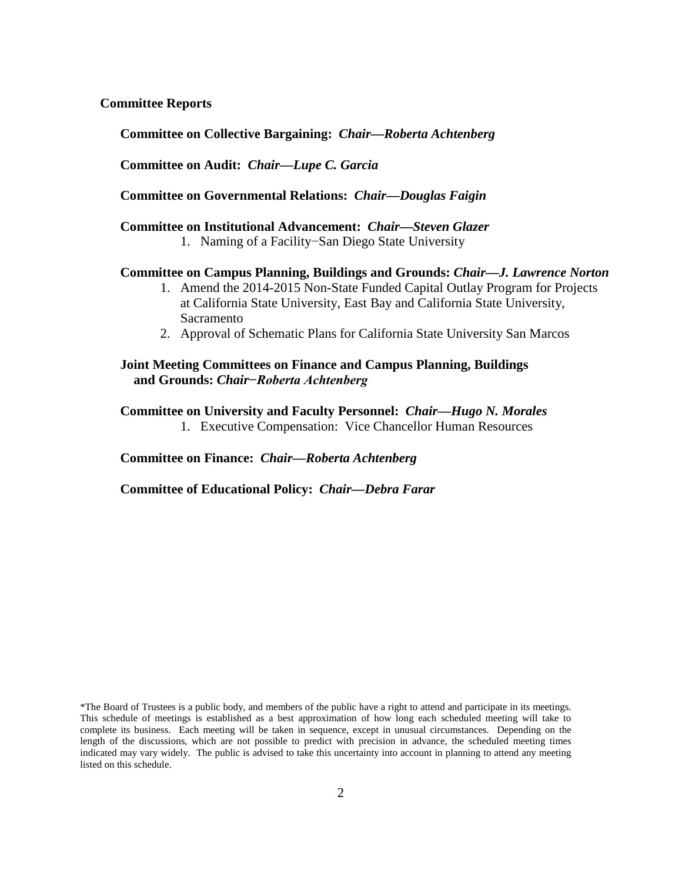### **Committee Reports**

**Committee on Collective Bargaining:** *Chair—Roberta Achtenberg*

**Committee on Audit:** *Chair—Lupe C. Garcia*

**Committee on Governmental Relations:** *Chair—Douglas Faigin*

**Committee on Institutional Advancement:** *Chair—Steven Glazer*

1. Naming of a Facility−San Diego State University

#### **Committee on Campus Planning, Buildings and Grounds:** *Chair—J. Lawrence Norton*

- 1. Amend the 2014-2015 Non-State Funded Capital Outlay Program for Projects at California State University, East Bay and California State University, Sacramento
- 2. Approval of Schematic Plans for California State University San Marcos

### **Joint Meeting Committees on Finance and Campus Planning, Buildings and Grounds:** *Chair−Roberta Achtenberg*

**Committee on University and Faculty Personnel:** *Chair—Hugo N. Morales* 1. Executive Compensation: Vice Chancellor Human Resources

**Committee on Finance:** *Chair—Roberta Achtenberg*

**Committee of Educational Policy:** *Chair—Debra Farar*

\*The Board of Trustees is a public body, and members of the public have a right to attend and participate in its meetings. This schedule of meetings is established as a best approximation of how long each scheduled meeting will take to complete its business. Each meeting will be taken in sequence, except in unusual circumstances. Depending on the length of the discussions, which are not possible to predict with precision in advance, the scheduled meeting times indicated may vary widely. The public is advised to take this uncertainty into account in planning to attend any meeting listed on this schedule.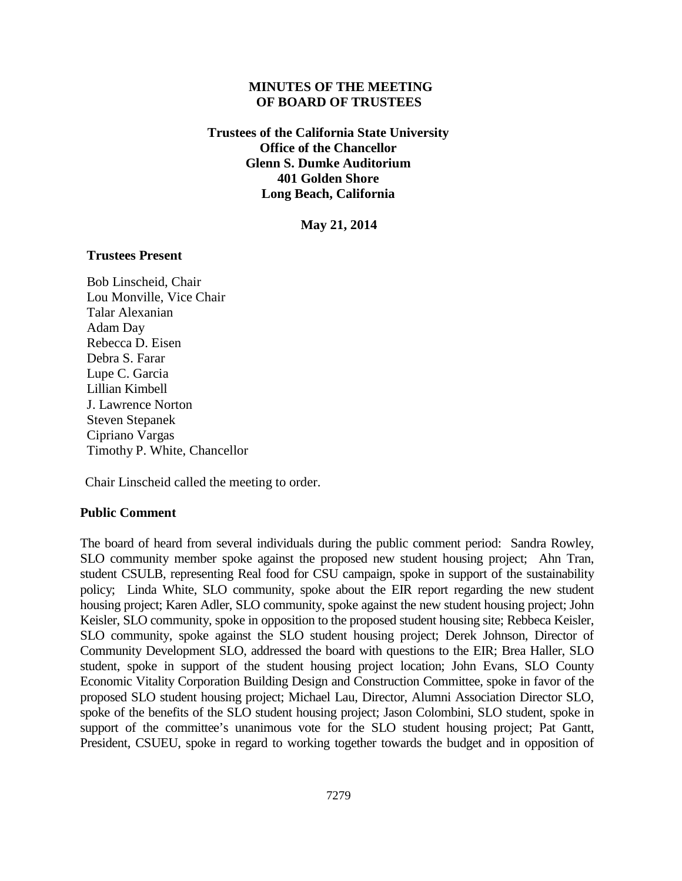### **MINUTES OF THE MEETING OF BOARD OF TRUSTEES**

**Trustees of the California State University Office of the Chancellor Glenn S. Dumke Auditorium 401 Golden Shore Long Beach, California**

**May 21, 2014**

### **Trustees Present**

Bob Linscheid, Chair Lou Monville, Vice Chair Talar Alexanian Adam Day Rebecca D. Eisen Debra S. Farar Lupe C. Garcia Lillian Kimbell J. Lawrence Norton Steven Stepanek Cipriano Vargas Timothy P. White, Chancellor

Chair Linscheid called the meeting to order.

### **Public Comment**

The board of heard from several individuals during the public comment period: Sandra Rowley, SLO community member spoke against the proposed new student housing project; Ahn Tran, student CSULB, representing Real food for CSU campaign, spoke in support of the sustainability policy; Linda White, SLO community, spoke about the EIR report regarding the new student housing project; Karen Adler, SLO community, spoke against the new student housing project; John Keisler, SLO community, spoke in opposition to the proposed student housing site; Rebbeca Keisler, SLO community, spoke against the SLO student housing project; Derek Johnson, Director of Community Development SLO, addressed the board with questions to the EIR; Brea Haller, SLO student, spoke in support of the student housing project location; John Evans, SLO County Economic Vitality Corporation Building Design and Construction Committee, spoke in favor of the proposed SLO student housing project; Michael Lau, Director, Alumni Association Director SLO, spoke of the benefits of the SLO student housing project; Jason Colombini, SLO student, spoke in support of the committee's unanimous vote for the SLO student housing project; Pat Gantt, President, CSUEU, spoke in regard to working together towards the budget and in opposition of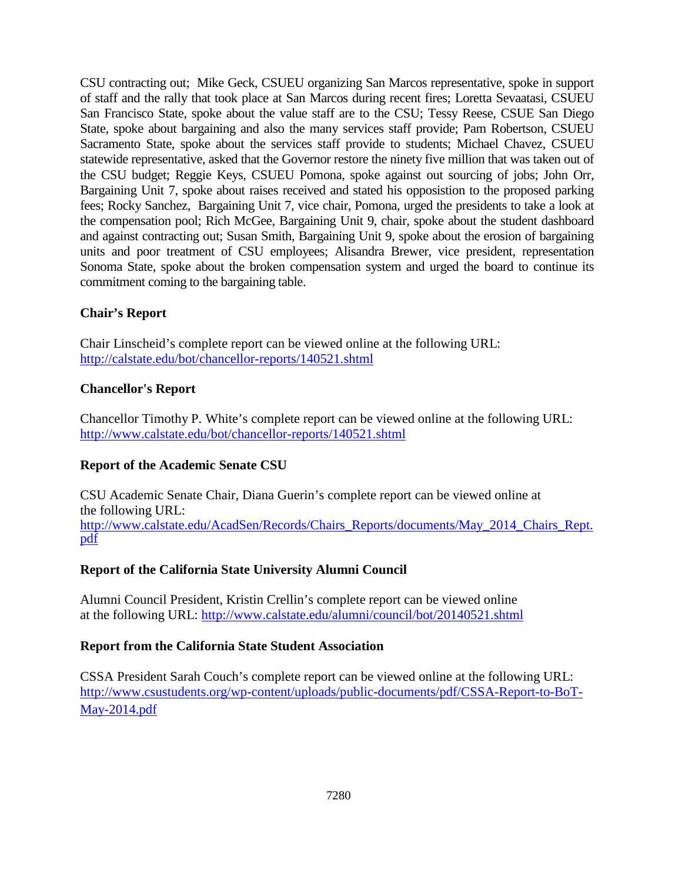CSU contracting out; Mike Geck, CSUEU organizing San Marcos representative, spoke in support of staff and the rally that took place at San Marcos during recent fires; Loretta Sevaatasi, CSUEU San Francisco State, spoke about the value staff are to the CSU; Tessy Reese, CSUE San Diego State, spoke about bargaining and also the many services staff provide; Pam Robertson, CSUEU Sacramento State, spoke about the services staff provide to students; Michael Chavez, CSUEU statewide representative, asked that the Governor restore the ninety five million that was taken out of the CSU budget; Reggie Keys, CSUEU Pomona, spoke against out sourcing of jobs; John Orr, Bargaining Unit 7, spoke about raises received and stated his opposistion to the proposed parking fees; Rocky Sanchez, Bargaining Unit 7, vice chair, Pomona, urged the presidents to take a look at the compensation pool; Rich McGee, Bargaining Unit 9, chair, spoke about the student dashboard and against contracting out; Susan Smith, Bargaining Unit 9, spoke about the erosion of bargaining units and poor treatment of CSU employees; Alisandra Brewer, vice president, representation Sonoma State, spoke about the broken compensation system and urged the board to continue its commitment coming to the bargaining table.

# **Chair's Report**

Chair Linscheid's complete report can be viewed online at the following URL: <http://calstate.edu/bot/chancellor-reports/140521.shtml>

# **Chancellor's Report**

Chancellor Timothy P. White's complete report can be viewed online at the following URL: <http://www.calstate.edu/bot/chancellor-reports/140521.shtml>

# **Report of the Academic Senate CSU**

CSU Academic Senate Chair, Diana Guerin's complete report can be viewed online at the following URL: [http://www.calstate.edu/AcadSen/Records/Chairs\\_Reports/documents/May\\_2014\\_Chairs\\_Rept.](http://www.calstate.edu/AcadSen/Records/Chairs_Reports/documents/May_2014_Chairs_Rept.pdf) [pdf](http://www.calstate.edu/AcadSen/Records/Chairs_Reports/documents/May_2014_Chairs_Rept.pdf)

## **Report of the California State University Alumni Council**

Alumni Council President, Kristin Crellin's complete report can be viewed online at the following URL:<http://www.calstate.edu/alumni/council/bot/20140521.shtml>

## **Report from the California State Student Association**

CSSA President Sarah Couch's complete report can be viewed online at the following URL: [http://www.csustudents.org/wp-content/uploads/public-documents/pdf/CSSA-Report-to-BoT-](http://www.csustudents.org/wp-content/uploads/public-documents/pdf/CSSA-Report-to-BoT-May-2014.pdf)[May-2014.pdf](http://www.csustudents.org/wp-content/uploads/public-documents/pdf/CSSA-Report-to-BoT-May-2014.pdf)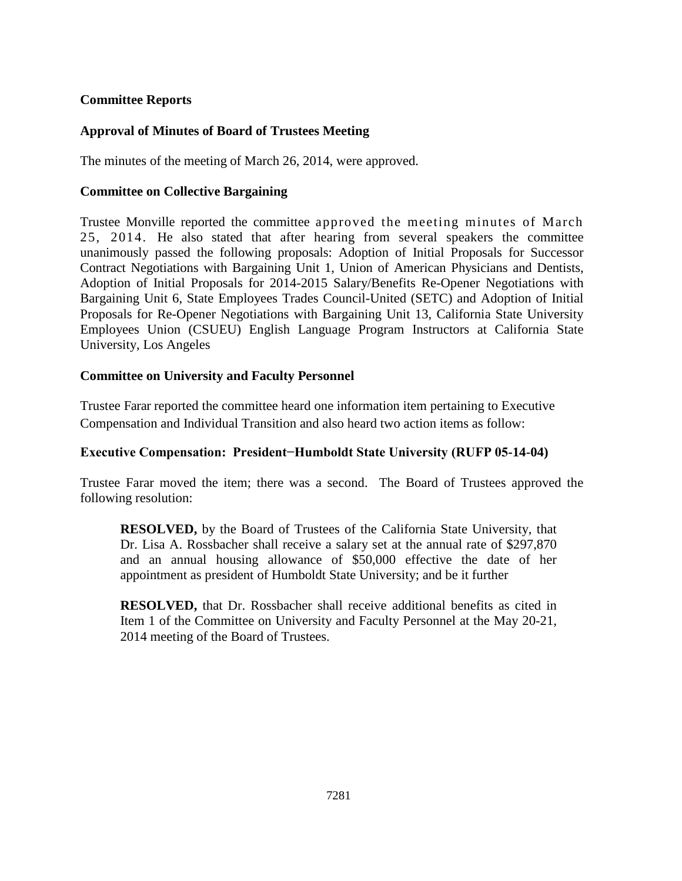## **Committee Reports**

# **Approval of Minutes of Board of Trustees Meeting**

The minutes of the meeting of March 26, 2014, were approved.

## **Committee on Collective Bargaining**

Trustee Monville reported the committee approved the meeting minutes of March 25, 2014. He also stated that after hearing from several speakers the committee unanimously passed the following proposals: Adoption of Initial Proposals for Successor Contract Negotiations with Bargaining Unit 1, Union of American Physicians and Dentists, Adoption of Initial Proposals for 2014-2015 Salary/Benefits Re-Opener Negotiations with Bargaining Unit 6, State Employees Trades Council-United (SETC) and Adoption of Initial Proposals for Re-Opener Negotiations with Bargaining Unit 13, California State University Employees Union (CSUEU) English Language Program Instructors at California State University, Los Angeles

# **Committee on University and Faculty Personnel**

Trustee Farar reported the committee heard one information item pertaining to Executive Compensation and Individual Transition and also heard two action items as follow:

## **Executive Compensation: President−Humboldt State University (RUFP 05-14-04)**

Trustee Farar moved the item; there was a second. The Board of Trustees approved the following resolution:

**RESOLVED,** by the Board of Trustees of the California State University, that Dr. Lisa A. Rossbacher shall receive a salary set at the annual rate of \$297,870 and an annual housing allowance of \$50,000 effective the date of her appointment as president of Humboldt State University; and be it further

**RESOLVED,** that Dr. Rossbacher shall receive additional benefits as cited in Item 1 of the Committee on University and Faculty Personnel at the May 20-21, 2014 meeting of the Board of Trustees.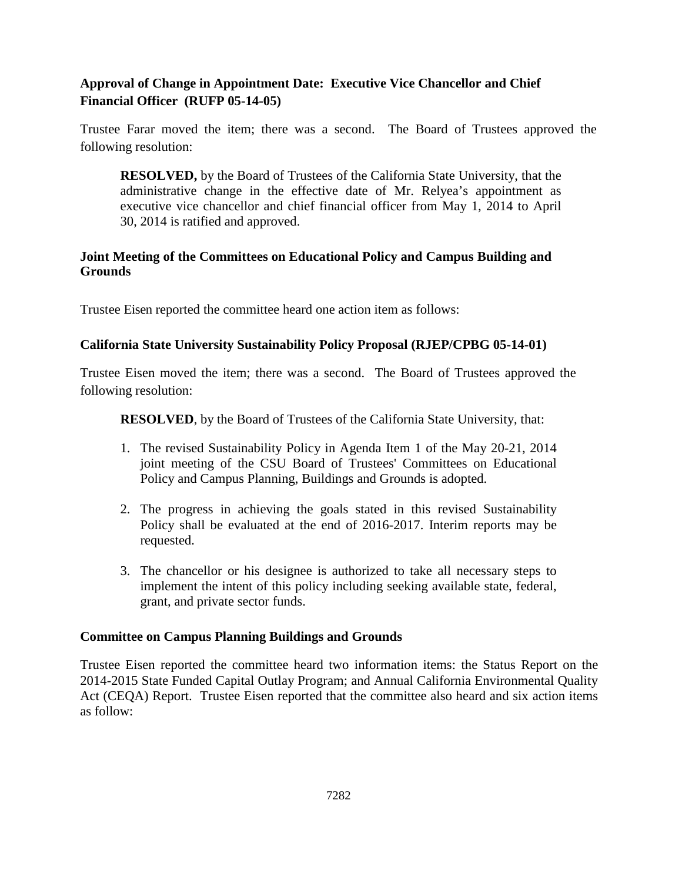# **Approval of Change in Appointment Date: Executive Vice Chancellor and Chief Financial Officer (RUFP 05-14-05)**

Trustee Farar moved the item; there was a second. The Board of Trustees approved the following resolution:

**RESOLVED,** by the Board of Trustees of the California State University, that the administrative change in the effective date of Mr. Relyea's appointment as executive vice chancellor and chief financial officer from May 1, 2014 to April 30, 2014 is ratified and approved.

# **Joint Meeting of the Committees on Educational Policy and Campus Building and Grounds**

Trustee Eisen reported the committee heard one action item as follows:

# **California State University Sustainability Policy Proposal (RJEP/CPBG 05-14-01)**

Trustee Eisen moved the item; there was a second. The Board of Trustees approved the following resolution:

**RESOLVED**, by the Board of Trustees of the California State University, that:

- 1. The revised Sustainability Policy in Agenda Item 1 of the May 20-21, 2014 joint meeting of the CSU Board of Trustees' Committees on Educational Policy and Campus Planning, Buildings and Grounds is adopted.
- 2. The progress in achieving the goals stated in this revised Sustainability Policy shall be evaluated at the end of 2016-2017. Interim reports may be requested.
- 3. The chancellor or his designee is authorized to take all necessary steps to implement the intent of this policy including seeking available state, federal, grant, and private sector funds.

## **Committee on Campus Planning Buildings and Grounds**

Trustee Eisen reported the committee heard two information items: the Status Report on the 2014-2015 State Funded Capital Outlay Program; and Annual California Environmental Quality Act (CEQA) Report. Trustee Eisen reported that the committee also heard and six action items as follow: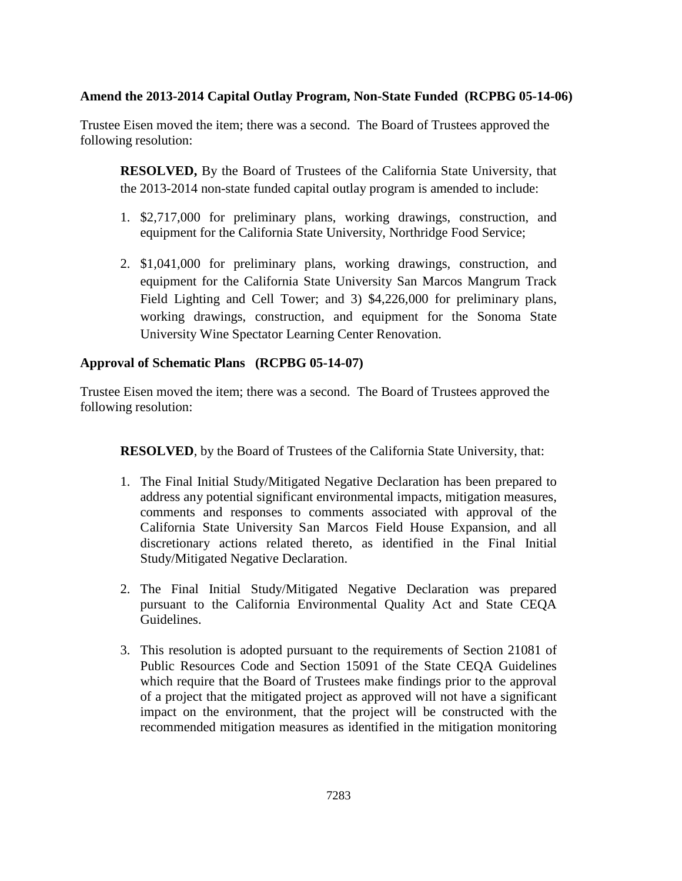## **Amend the 2013-2014 Capital Outlay Program, Non-State Funded (RCPBG 05-14-06)**

Trustee Eisen moved the item; there was a second. The Board of Trustees approved the following resolution:

**RESOLVED,** By the Board of Trustees of the California State University, that the 2013-2014 non-state funded capital outlay program is amended to include:

- 1. \$2,717,000 for preliminary plans, working drawings, construction, and equipment for the California State University, Northridge Food Service;
- 2. \$1,041,000 for preliminary plans, working drawings, construction, and equipment for the California State University San Marcos Mangrum Track Field Lighting and Cell Tower; and 3) \$4,226,000 for preliminary plans, working drawings, construction, and equipment for the Sonoma State University Wine Spectator Learning Center Renovation.

# **Approval of Schematic Plans (RCPBG 05-14-07)**

Trustee Eisen moved the item; there was a second. The Board of Trustees approved the following resolution:

**RESOLVED**, by the Board of Trustees of the California State University, that:

- 1. The Final Initial Study/Mitigated Negative Declaration has been prepared to address any potential significant environmental impacts, mitigation measures, comments and responses to comments associated with approval of the California State University San Marcos Field House Expansion, and all discretionary actions related thereto, as identified in the Final Initial Study/Mitigated Negative Declaration.
- 2. The Final Initial Study/Mitigated Negative Declaration was prepared pursuant to the California Environmental Quality Act and State CEQA Guidelines.
- 3. This resolution is adopted pursuant to the requirements of Section 21081 of Public Resources Code and Section 15091 of the State CEQA Guidelines which require that the Board of Trustees make findings prior to the approval of a project that the mitigated project as approved will not have a significant impact on the environment, that the project will be constructed with the recommended mitigation measures as identified in the mitigation monitoring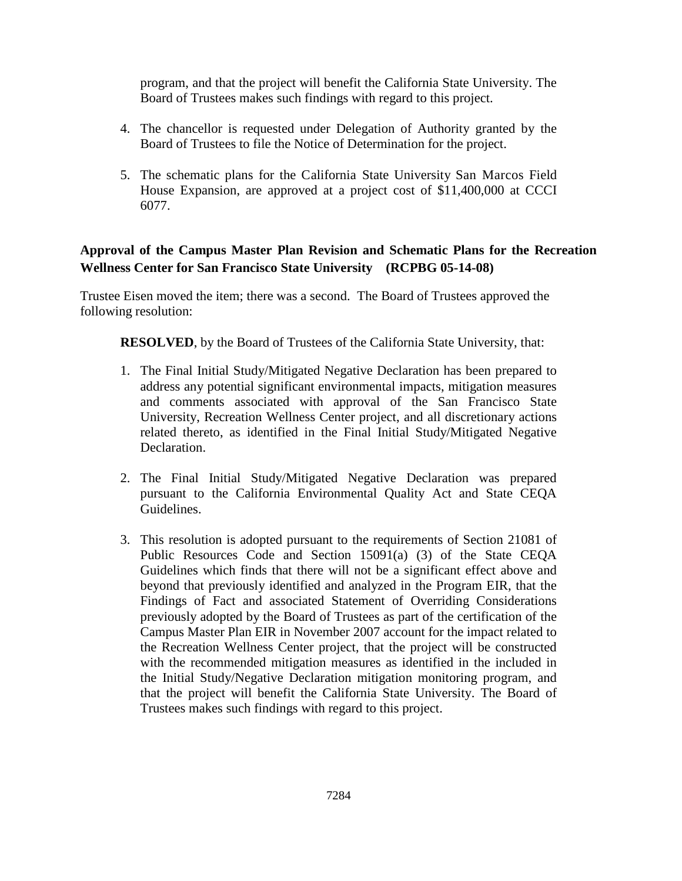program, and that the project will benefit the California State University. The Board of Trustees makes such findings with regard to this project.

- 4. The chancellor is requested under Delegation of Authority granted by the Board of Trustees to file the Notice of Determination for the project.
- 5. The schematic plans for the California State University San Marcos Field House Expansion, are approved at a project cost of \$11,400,000 at CCCI 6077.

# **Approval of the Campus Master Plan Revision and Schematic Plans for the Recreation Wellness Center for San Francisco State University (RCPBG 05-14-08)**

Trustee Eisen moved the item; there was a second. The Board of Trustees approved the following resolution:

**RESOLVED**, by the Board of Trustees of the California State University, that:

- 1. The Final Initial Study/Mitigated Negative Declaration has been prepared to address any potential significant environmental impacts, mitigation measures and comments associated with approval of the San Francisco State University, Recreation Wellness Center project, and all discretionary actions related thereto, as identified in the Final Initial Study/Mitigated Negative Declaration.
- 2. The Final Initial Study/Mitigated Negative Declaration was prepared pursuant to the California Environmental Quality Act and State CEQA Guidelines.
- 3. This resolution is adopted pursuant to the requirements of Section 21081 of Public Resources Code and Section 15091(a) (3) of the State CEQA Guidelines which finds that there will not be a significant effect above and beyond that previously identified and analyzed in the Program EIR, that the Findings of Fact and associated Statement of Overriding Considerations previously adopted by the Board of Trustees as part of the certification of the Campus Master Plan EIR in November 2007 account for the impact related to the Recreation Wellness Center project, that the project will be constructed with the recommended mitigation measures as identified in the included in the Initial Study/Negative Declaration mitigation monitoring program, and that the project will benefit the California State University. The Board of Trustees makes such findings with regard to this project.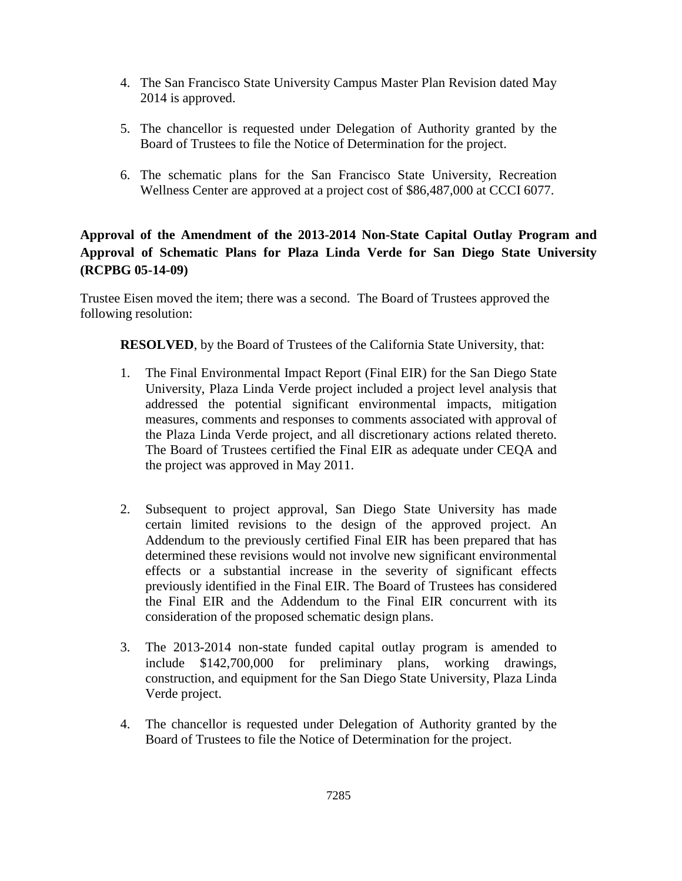- 4. The San Francisco State University Campus Master Plan Revision dated May 2014 is approved.
- 5. The chancellor is requested under Delegation of Authority granted by the Board of Trustees to file the Notice of Determination for the project.
- 6. The schematic plans for the San Francisco State University, Recreation Wellness Center are approved at a project cost of \$86,487,000 at CCCI 6077.

# **Approval of the Amendment of the 2013-2014 Non-State Capital Outlay Program and Approval of Schematic Plans for Plaza Linda Verde for San Diego State University (RCPBG 05-14-09)**

Trustee Eisen moved the item; there was a second. The Board of Trustees approved the following resolution:

**RESOLVED**, by the Board of Trustees of the California State University, that:

- 1. The Final Environmental Impact Report (Final EIR) for the San Diego State University, Plaza Linda Verde project included a project level analysis that addressed the potential significant environmental impacts, mitigation measures, comments and responses to comments associated with approval of the Plaza Linda Verde project, and all discretionary actions related thereto. The Board of Trustees certified the Final EIR as adequate under CEQA and the project was approved in May 2011.
- 2. Subsequent to project approval, San Diego State University has made certain limited revisions to the design of the approved project. An Addendum to the previously certified Final EIR has been prepared that has determined these revisions would not involve new significant environmental effects or a substantial increase in the severity of significant effects previously identified in the Final EIR. The Board of Trustees has considered the Final EIR and the Addendum to the Final EIR concurrent with its consideration of the proposed schematic design plans.
- 3. The 2013-2014 non-state funded capital outlay program is amended to include \$142,700,000 for preliminary plans, working drawings, construction, and equipment for the San Diego State University, Plaza Linda Verde project.
- 4. The chancellor is requested under Delegation of Authority granted by the Board of Trustees to file the Notice of Determination for the project.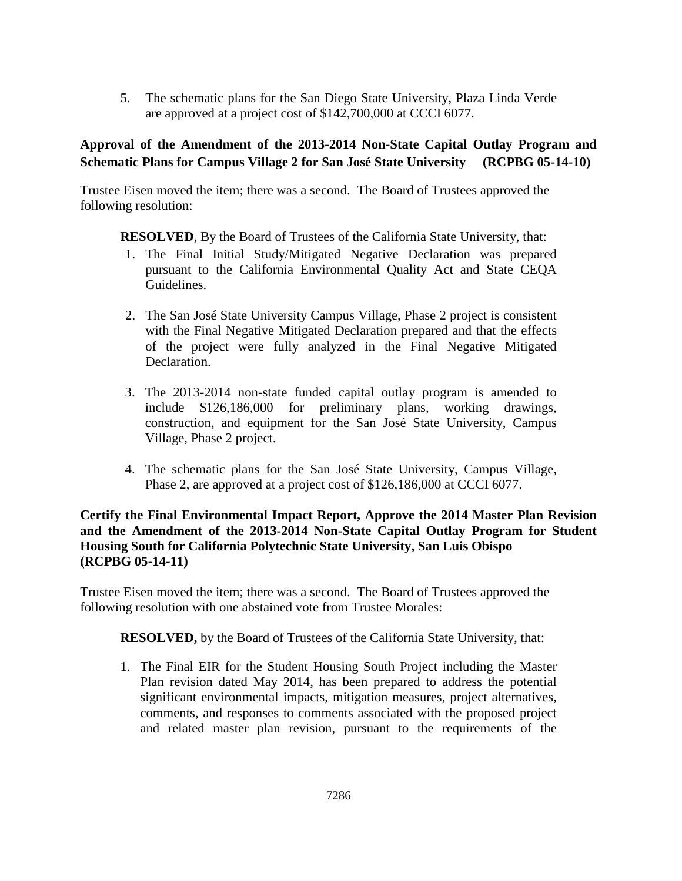5. The schematic plans for the San Diego State University, Plaza Linda Verde are approved at a project cost of \$142,700,000 at CCCI 6077.

# **Approval of the Amendment of the 2013-2014 Non-State Capital Outlay Program and Schematic Plans for Campus Village 2 for San José State University (RCPBG 05-14-10)**

Trustee Eisen moved the item; there was a second. The Board of Trustees approved the following resolution:

**RESOLVED**, By the Board of Trustees of the California State University, that:

- 1. The Final Initial Study/Mitigated Negative Declaration was prepared pursuant to the California Environmental Quality Act and State CEQA Guidelines.
- 2. The San José State University Campus Village, Phase 2 project is consistent with the Final Negative Mitigated Declaration prepared and that the effects of the project were fully analyzed in the Final Negative Mitigated Declaration.
- 3. The 2013-2014 non-state funded capital outlay program is amended to include \$126,186,000 for preliminary plans, working drawings, construction, and equipment for the San José State University, Campus Village, Phase 2 project.
- 4. The schematic plans for the San José State University, Campus Village, Phase 2, are approved at a project cost of \$126,186,000 at CCCI 6077.

# **Certify the Final Environmental Impact Report, Approve the 2014 Master Plan Revision and the Amendment of the 2013-2014 Non-State Capital Outlay Program for Student Housing South for California Polytechnic State University, San Luis Obispo (RCPBG 05-14-11)**

Trustee Eisen moved the item; there was a second. The Board of Trustees approved the following resolution with one abstained vote from Trustee Morales:

**RESOLVED,** by the Board of Trustees of the California State University, that:

1. The Final EIR for the Student Housing South Project including the Master Plan revision dated May 2014, has been prepared to address the potential significant environmental impacts, mitigation measures, project alternatives, comments, and responses to comments associated with the proposed project and related master plan revision, pursuant to the requirements of the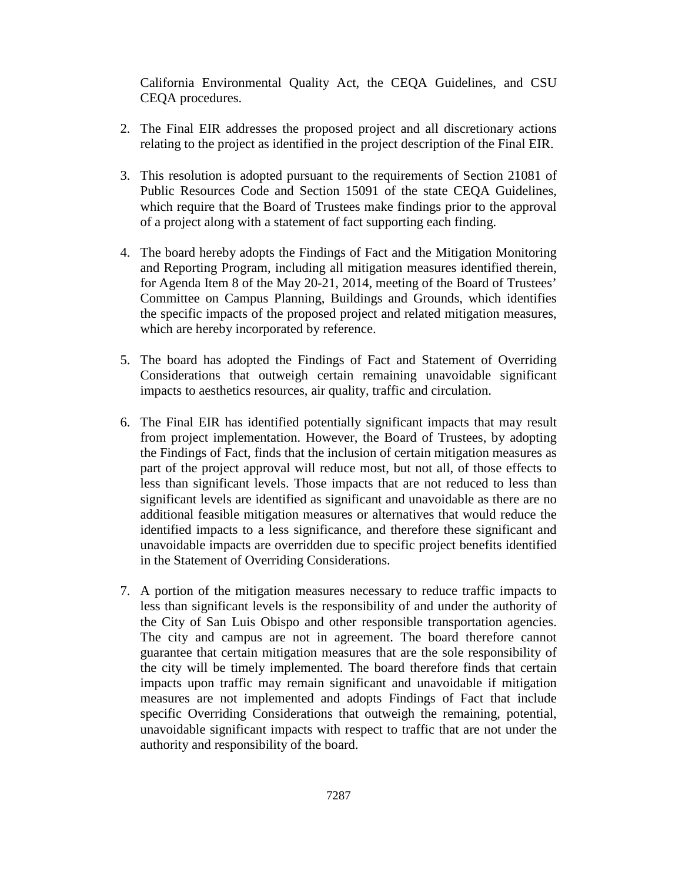California Environmental Quality Act, the CEQA Guidelines, and CSU CEQA procedures.

- 2. The Final EIR addresses the proposed project and all discretionary actions relating to the project as identified in the project description of the Final EIR.
- 3. This resolution is adopted pursuant to the requirements of Section 21081 of Public Resources Code and Section 15091 of the state CEQA Guidelines, which require that the Board of Trustees make findings prior to the approval of a project along with a statement of fact supporting each finding.
- 4. The board hereby adopts the Findings of Fact and the Mitigation Monitoring and Reporting Program, including all mitigation measures identified therein, for Agenda Item 8 of the May 20-21, 2014, meeting of the Board of Trustees' Committee on Campus Planning, Buildings and Grounds, which identifies the specific impacts of the proposed project and related mitigation measures, which are hereby incorporated by reference.
- 5. The board has adopted the Findings of Fact and Statement of Overriding Considerations that outweigh certain remaining unavoidable significant impacts to aesthetics resources, air quality, traffic and circulation.
- 6. The Final EIR has identified potentially significant impacts that may result from project implementation. However, the Board of Trustees, by adopting the Findings of Fact, finds that the inclusion of certain mitigation measures as part of the project approval will reduce most, but not all, of those effects to less than significant levels. Those impacts that are not reduced to less than significant levels are identified as significant and unavoidable as there are no additional feasible mitigation measures or alternatives that would reduce the identified impacts to a less significance, and therefore these significant and unavoidable impacts are overridden due to specific project benefits identified in the Statement of Overriding Considerations.
- 7. A portion of the mitigation measures necessary to reduce traffic impacts to less than significant levels is the responsibility of and under the authority of the City of San Luis Obispo and other responsible transportation agencies. The city and campus are not in agreement. The board therefore cannot guarantee that certain mitigation measures that are the sole responsibility of the city will be timely implemented. The board therefore finds that certain impacts upon traffic may remain significant and unavoidable if mitigation measures are not implemented and adopts Findings of Fact that include specific Overriding Considerations that outweigh the remaining, potential, unavoidable significant impacts with respect to traffic that are not under the authority and responsibility of the board.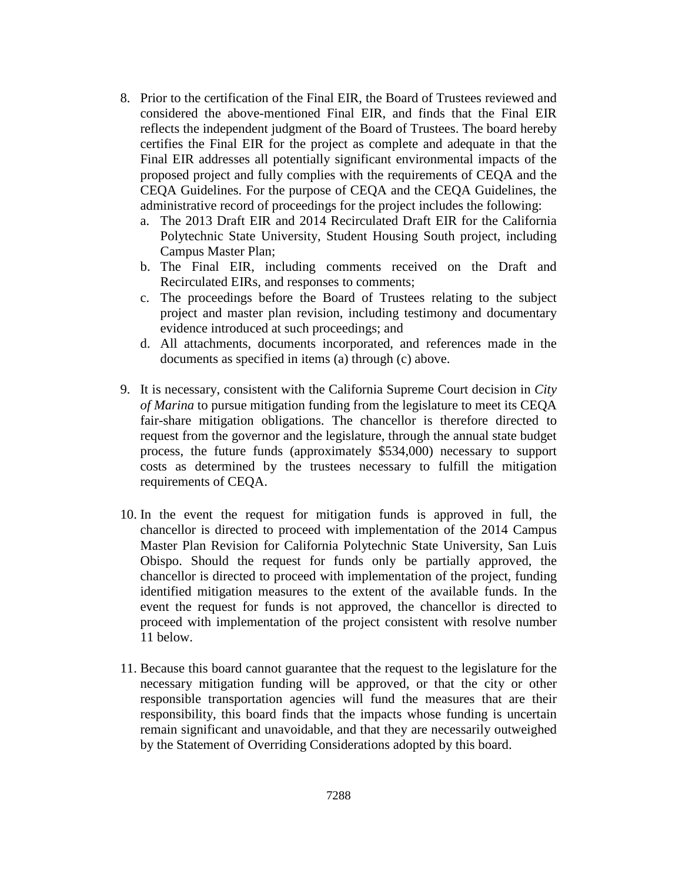- 8. Prior to the certification of the Final EIR, the Board of Trustees reviewed and considered the above-mentioned Final EIR, and finds that the Final EIR reflects the independent judgment of the Board of Trustees. The board hereby certifies the Final EIR for the project as complete and adequate in that the Final EIR addresses all potentially significant environmental impacts of the proposed project and fully complies with the requirements of CEQA and the CEQA Guidelines. For the purpose of CEQA and the CEQA Guidelines, the administrative record of proceedings for the project includes the following:
	- a. The 2013 Draft EIR and 2014 Recirculated Draft EIR for the California Polytechnic State University, Student Housing South project, including Campus Master Plan;
	- b. The Final EIR, including comments received on the Draft and Recirculated EIRs, and responses to comments;
	- c. The proceedings before the Board of Trustees relating to the subject project and master plan revision, including testimony and documentary evidence introduced at such proceedings; and
	- d. All attachments, documents incorporated, and references made in the documents as specified in items (a) through (c) above.
- 9. It is necessary, consistent with the California Supreme Court decision in *City of Marina* to pursue mitigation funding from the legislature to meet its CEQA fair-share mitigation obligations. The chancellor is therefore directed to request from the governor and the legislature, through the annual state budget process, the future funds (approximately \$534,000) necessary to support costs as determined by the trustees necessary to fulfill the mitigation requirements of CEQA.
- 10. In the event the request for mitigation funds is approved in full, the chancellor is directed to proceed with implementation of the 2014 Campus Master Plan Revision for California Polytechnic State University, San Luis Obispo. Should the request for funds only be partially approved, the chancellor is directed to proceed with implementation of the project, funding identified mitigation measures to the extent of the available funds. In the event the request for funds is not approved, the chancellor is directed to proceed with implementation of the project consistent with resolve number 11 below.
- 11. Because this board cannot guarantee that the request to the legislature for the necessary mitigation funding will be approved, or that the city or other responsible transportation agencies will fund the measures that are their responsibility, this board finds that the impacts whose funding is uncertain remain significant and unavoidable, and that they are necessarily outweighed by the Statement of Overriding Considerations adopted by this board.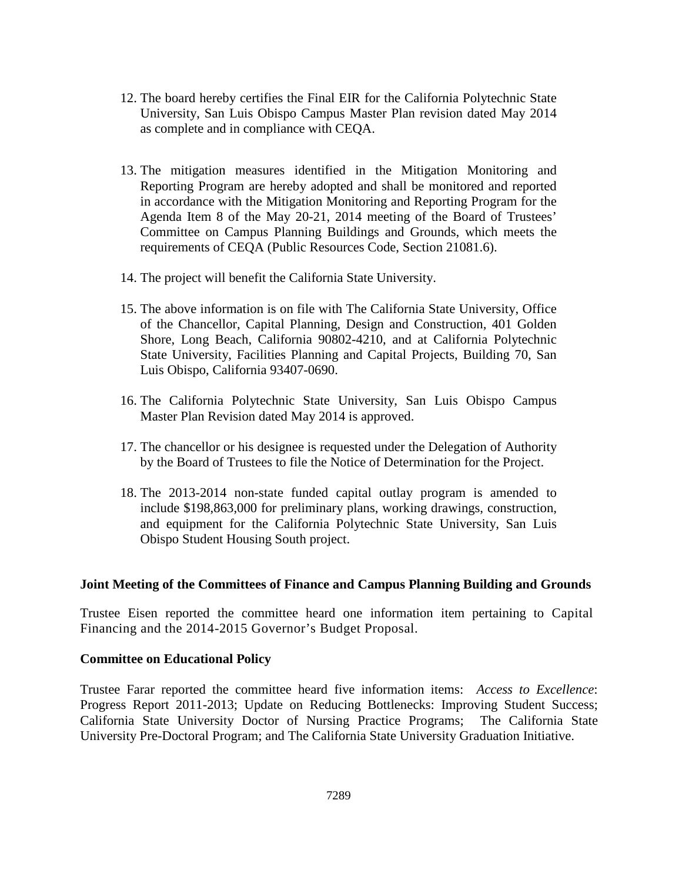- 12. The board hereby certifies the Final EIR for the California Polytechnic State University, San Luis Obispo Campus Master Plan revision dated May 2014 as complete and in compliance with CEQA.
- 13. The mitigation measures identified in the Mitigation Monitoring and Reporting Program are hereby adopted and shall be monitored and reported in accordance with the Mitigation Monitoring and Reporting Program for the Agenda Item 8 of the May 20-21, 2014 meeting of the Board of Trustees' Committee on Campus Planning Buildings and Grounds, which meets the requirements of CEQA (Public Resources Code, Section 21081.6).
- 14. The project will benefit the California State University.
- 15. The above information is on file with The California State University, Office of the Chancellor, Capital Planning, Design and Construction, 401 Golden Shore, Long Beach, California 90802-4210, and at California Polytechnic State University, Facilities Planning and Capital Projects, Building 70, San Luis Obispo, California 93407-0690.
- 16. The California Polytechnic State University, San Luis Obispo Campus Master Plan Revision dated May 2014 is approved.
- 17. The chancellor or his designee is requested under the Delegation of Authority by the Board of Trustees to file the Notice of Determination for the Project.
- 18. The 2013-2014 non-state funded capital outlay program is amended to include \$198,863,000 for preliminary plans, working drawings, construction, and equipment for the California Polytechnic State University, San Luis Obispo Student Housing South project.

#### **Joint Meeting of the Committees of Finance and Campus Planning Building and Grounds**

Trustee Eisen reported the committee heard one information item pertaining to Capital Financing and the 2014-2015 Governor's Budget Proposal.

#### **Committee on Educational Policy**

Trustee Farar reported the committee heard five information items: *Access to Excellence*: Progress Report 2011-2013; Update on Reducing Bottlenecks: Improving Student Success; California State University Doctor of Nursing Practice Programs; The California State University Pre-Doctoral Program; and The California State University Graduation Initiative.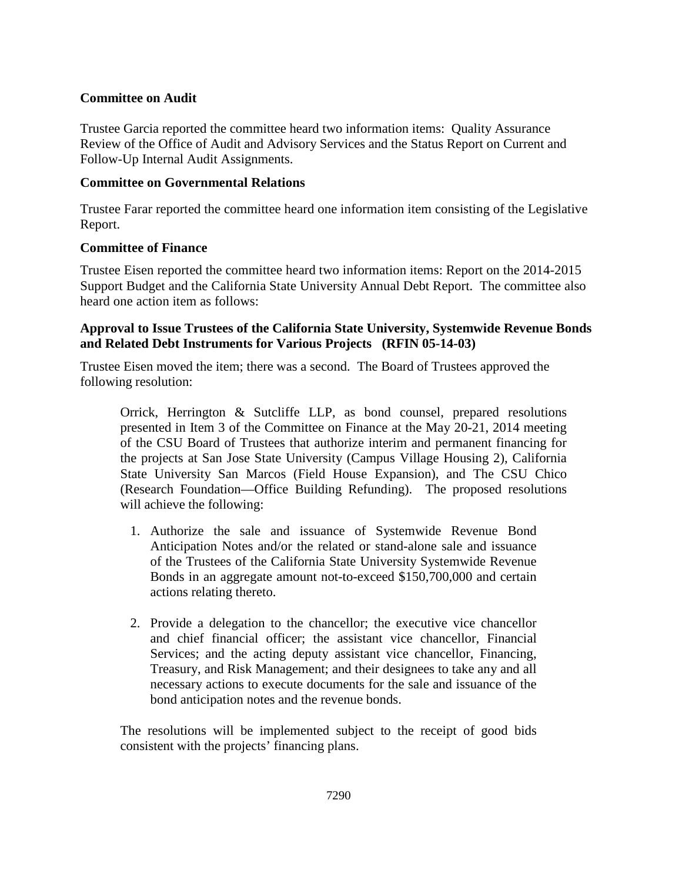## **Committee on Audit**

Trustee Garcia reported the committee heard two information items: Quality Assurance Review of the Office of Audit and Advisory Services and the Status Report on Current and Follow-Up Internal Audit Assignments.

## **Committee on Governmental Relations**

Trustee Farar reported the committee heard one information item consisting of the Legislative Report.

# **Committee of Finance**

Trustee Eisen reported the committee heard two information items: Report on the 2014-2015 Support Budget and the California State University Annual Debt Report. The committee also heard one action item as follows:

# **Approval to Issue Trustees of the California State University, Systemwide Revenue Bonds and Related Debt Instruments for Various Projects (RFIN 05-14-03)**

Trustee Eisen moved the item; there was a second. The Board of Trustees approved the following resolution:

Orrick, Herrington & Sutcliffe LLP, as bond counsel, prepared resolutions presented in Item 3 of the Committee on Finance at the May 20-21, 2014 meeting of the CSU Board of Trustees that authorize interim and permanent financing for the projects at San Jose State University (Campus Village Housing 2), California State University San Marcos (Field House Expansion), and The CSU Chico (Research Foundation—Office Building Refunding). The proposed resolutions will achieve the following:

- 1. Authorize the sale and issuance of Systemwide Revenue Bond Anticipation Notes and/or the related or stand-alone sale and issuance of the Trustees of the California State University Systemwide Revenue Bonds in an aggregate amount not-to-exceed \$150,700,000 and certain actions relating thereto.
- 2. Provide a delegation to the chancellor; the executive vice chancellor and chief financial officer; the assistant vice chancellor, Financial Services; and the acting deputy assistant vice chancellor, Financing, Treasury, and Risk Management; and their designees to take any and all necessary actions to execute documents for the sale and issuance of the bond anticipation notes and the revenue bonds.

The resolutions will be implemented subject to the receipt of good bids consistent with the projects' financing plans.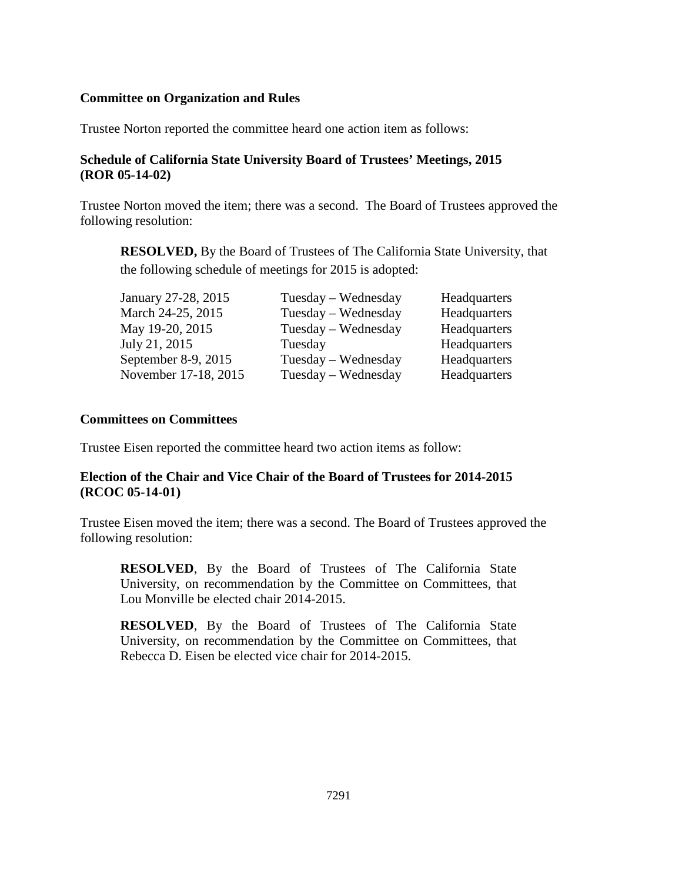## **Committee on Organization and Rules**

Trustee Norton reported the committee heard one action item as follows:

# **Schedule of California State University Board of Trustees' Meetings, 2015 (ROR 05-14-02)**

Trustee Norton moved the item; there was a second. The Board of Trustees approved the following resolution:

**RESOLVED,** By the Board of Trustees of The California State University, that the following schedule of meetings for 2015 is adopted:

| January 27-28, 2015  | $Tuesday - Wednesday$ | Headquarters |
|----------------------|-----------------------|--------------|
| March 24-25, 2015    | Tuesday – Wednesday   | Headquarters |
| May 19-20, 2015      | Tuesday – Wednesday   | Headquarters |
| July 21, 2015        | Tuesday               | Headquarters |
| September 8-9, 2015  | $Tuesday - Wednesday$ | Headquarters |
| November 17-18, 2015 | Tuesday - Wednesday   | Headquarters |

## **Committees on Committees**

Trustee Eisen reported the committee heard two action items as follow:

# **Election of the Chair and Vice Chair of the Board of Trustees for 2014-2015 (RCOC 05-14-01)**

Trustee Eisen moved the item; there was a second. The Board of Trustees approved the following resolution:

**RESOLVED**, By the Board of Trustees of The California State University, on recommendation by the Committee on Committees, that Lou Monville be elected chair 2014-2015.

**RESOLVED**, By the Board of Trustees of The California State University, on recommendation by the Committee on Committees, that Rebecca D. Eisen be elected vice chair for 2014-2015.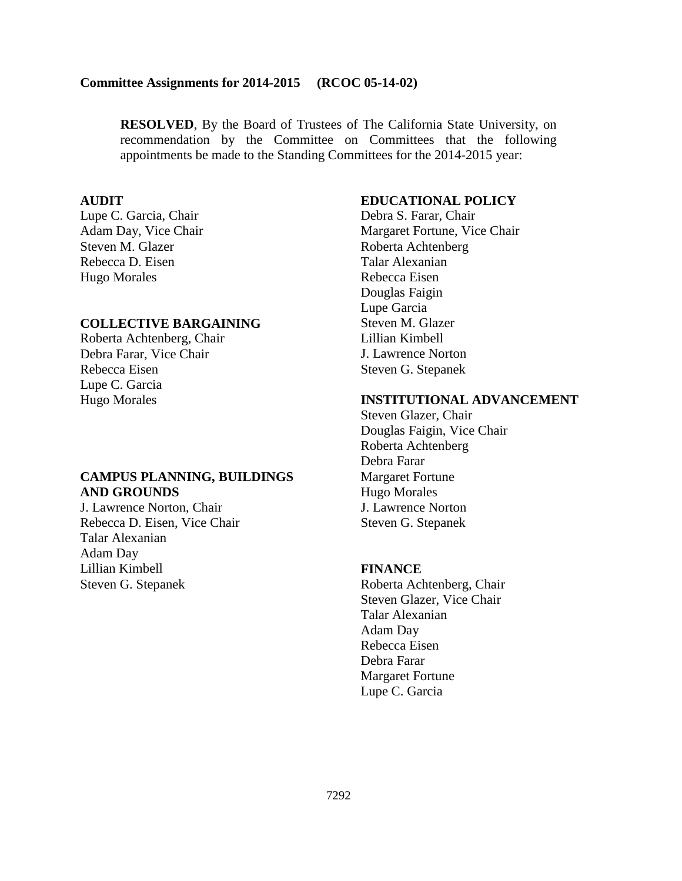#### **Committee Assignments for 2014-2015 (RCOC 05-14-02)**

**RESOLVED**, By the Board of Trustees of The California State University, on recommendation by the Committee on Committees that the following appointments be made to the Standing Committees for the 2014-2015 year:

#### **AUDIT**

Lupe C. Garcia, Chair Adam Day, Vice Chair Steven M. Glazer Rebecca D. Eisen Hugo Morales

#### **COLLECTIVE BARGAINING**

Roberta Achtenberg, Chair Debra Farar, Vice Chair Rebecca Eisen Lupe C. Garcia Hugo Morales

### **CAMPUS PLANNING, BUILDINGS AND GROUNDS**

J. Lawrence Norton, Chair Rebecca D. Eisen, Vice Chair Talar Alexanian Adam Day Lillian Kimbell Steven G. Stepanek

### **EDUCATIONAL POLICY**

Debra S. Farar, Chair Margaret Fortune, Vice Chair Roberta Achtenberg Talar Alexanian Rebecca Eisen Douglas Faigin Lupe Garcia Steven M. Glazer Lillian Kimbell J. Lawrence Norton Steven G. Stepanek

# **INSTITUTIONAL ADVANCEMENT**

Steven Glazer, Chair Douglas Faigin, Vice Chair Roberta Achtenberg Debra Farar Margaret Fortune Hugo Morales J. Lawrence Norton Steven G. Stepanek

#### **FINANCE**

Roberta Achtenberg, Chair Steven Glazer, Vice Chair Talar Alexanian Adam Day Rebecca Eisen Debra Farar Margaret Fortune Lupe C. Garcia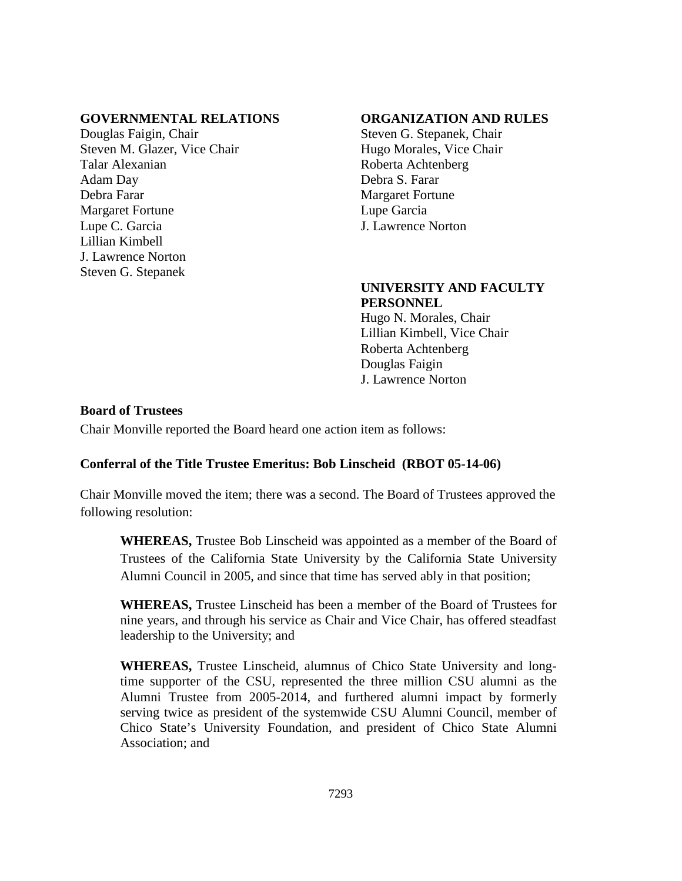## **GOVERNMENTAL RELATIONS**

Douglas Faigin, Chair Steven M. Glazer, Vice Chair Talar Alexanian Adam Day Debra Farar Margaret Fortune Lupe C. Garcia Lillian Kimbell J. Lawrence Norton Steven G. Stepanek

## **ORGANIZATION AND RULES**

Steven G. Stepanek, Chair Hugo Morales, Vice Chair Roberta Achtenberg Debra S. Farar Margaret Fortune Lupe Garcia J. Lawrence Norton

### **UNIVERSITY AND FACULTY PERSONNEL**

Hugo N. Morales, Chair Lillian Kimbell, Vice Chair Roberta Achtenberg Douglas Faigin J. Lawrence Norton

### **Board of Trustees**

Chair Monville reported the Board heard one action item as follows:

## **Conferral of the Title Trustee Emeritus: Bob Linscheid (RBOT 05-14-06)**

Chair Monville moved the item; there was a second. The Board of Trustees approved the following resolution:

**WHEREAS,** Trustee Bob Linscheid was appointed as a member of the Board of Trustees of the California State University by the California State University Alumni Council in 2005, and since that time has served ably in that position;

**WHEREAS,** Trustee Linscheid has been a member of the Board of Trustees for nine years, and through his service as Chair and Vice Chair, has offered steadfast leadership to the University; and

**WHEREAS,** Trustee Linscheid, alumnus of Chico State University and longtime supporter of the CSU, represented the three million CSU alumni as the Alumni Trustee from 2005-2014, and furthered alumni impact by formerly serving twice as president of the systemwide CSU Alumni Council, member of Chico State's University Foundation, and president of Chico State Alumni Association; and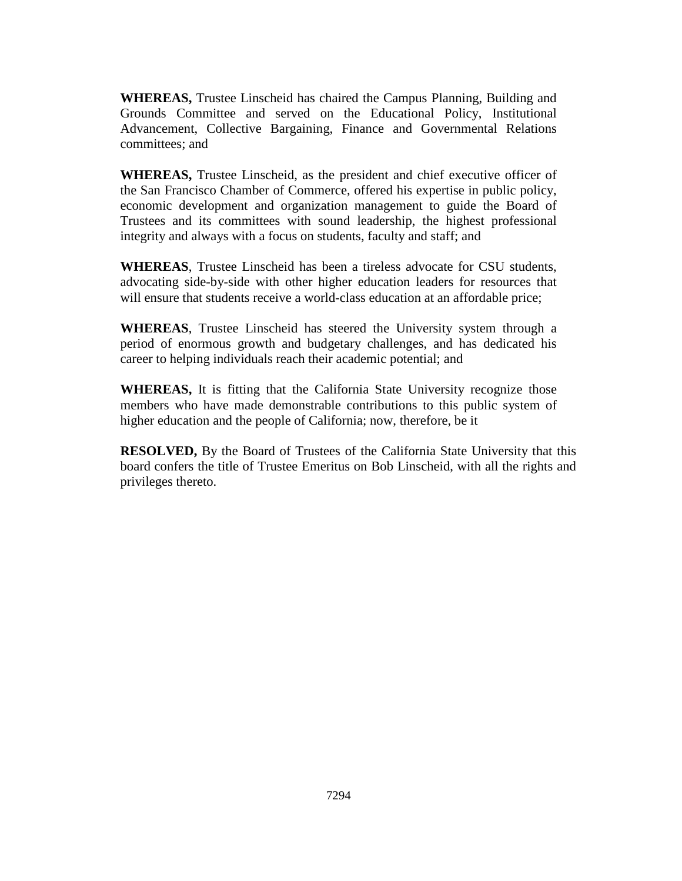**WHEREAS,** Trustee Linscheid has chaired the Campus Planning, Building and Grounds Committee and served on the Educational Policy, Institutional Advancement, Collective Bargaining, Finance and Governmental Relations committees; and

**WHEREAS,** Trustee Linscheid, as the president and chief executive officer of the San Francisco Chamber of Commerce, offered his expertise in public policy, economic development and organization management to guide the Board of Trustees and its committees with sound leadership, the highest professional integrity and always with a focus on students, faculty and staff; and

**WHEREAS**, Trustee Linscheid has been a tireless advocate for CSU students, advocating side-by-side with other higher education leaders for resources that will ensure that students receive a world-class education at an affordable price;

**WHEREAS**, Trustee Linscheid has steered the University system through a period of enormous growth and budgetary challenges, and has dedicated his career to helping individuals reach their academic potential; and

**WHEREAS,** It is fitting that the California State University recognize those members who have made demonstrable contributions to this public system of higher education and the people of California; now, therefore, be it

**RESOLVED,** By the Board of Trustees of the California State University that this board confers the title of Trustee Emeritus on Bob Linscheid, with all the rights and privileges thereto.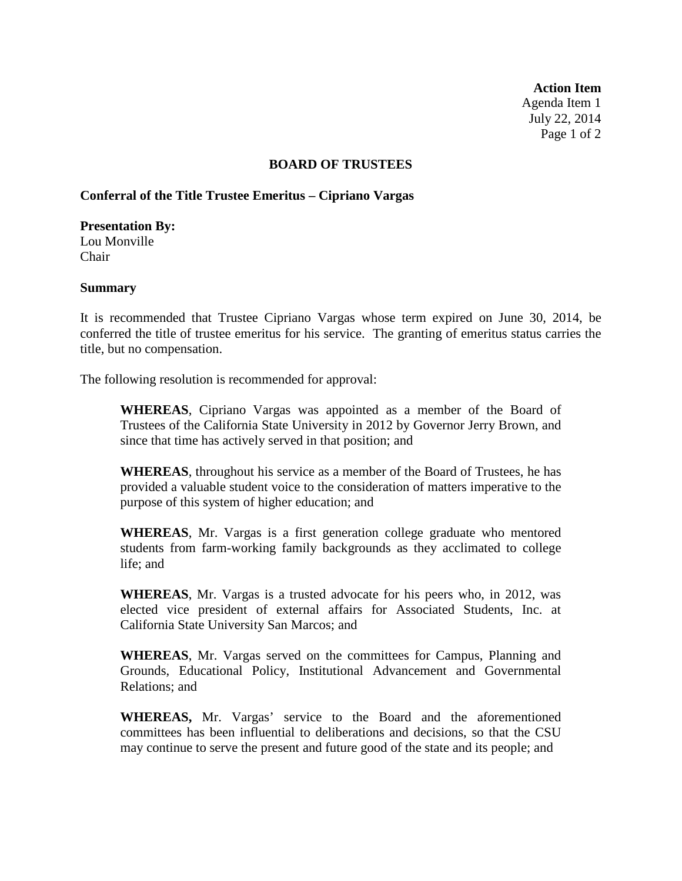**Action Item** Agenda Item 1 July 22, 2014 Page 1 of 2

### **BOARD OF TRUSTEES**

### **Conferral of the Title Trustee Emeritus – Cipriano Vargas**

### **Presentation By:**

Lou Monville Chair

### **Summary**

It is recommended that Trustee Cipriano Vargas whose term expired on June 30, 2014, be conferred the title of trustee emeritus for his service. The granting of emeritus status carries the title, but no compensation.

The following resolution is recommended for approval:

**WHEREAS**, Cipriano Vargas was appointed as a member of the Board of Trustees of the California State University in 2012 by Governor Jerry Brown, and since that time has actively served in that position; and

**WHEREAS**, throughout his service as a member of the Board of Trustees, he has provided a valuable student voice to the consideration of matters imperative to the purpose of this system of higher education; and

**WHEREAS**, Mr. Vargas is a first generation college graduate who mentored students from farm-working family backgrounds as they acclimated to college life; and

**WHEREAS**, Mr. Vargas is a trusted advocate for his peers who, in 2012, was elected vice president of external affairs for Associated Students, Inc. at California State University San Marcos; and

**WHEREAS**, Mr. Vargas served on the committees for Campus, Planning and Grounds, Educational Policy, Institutional Advancement and Governmental Relations; and

**WHEREAS,** Mr. Vargas' service to the Board and the aforementioned committees has been influential to deliberations and decisions, so that the CSU may continue to serve the present and future good of the state and its people; and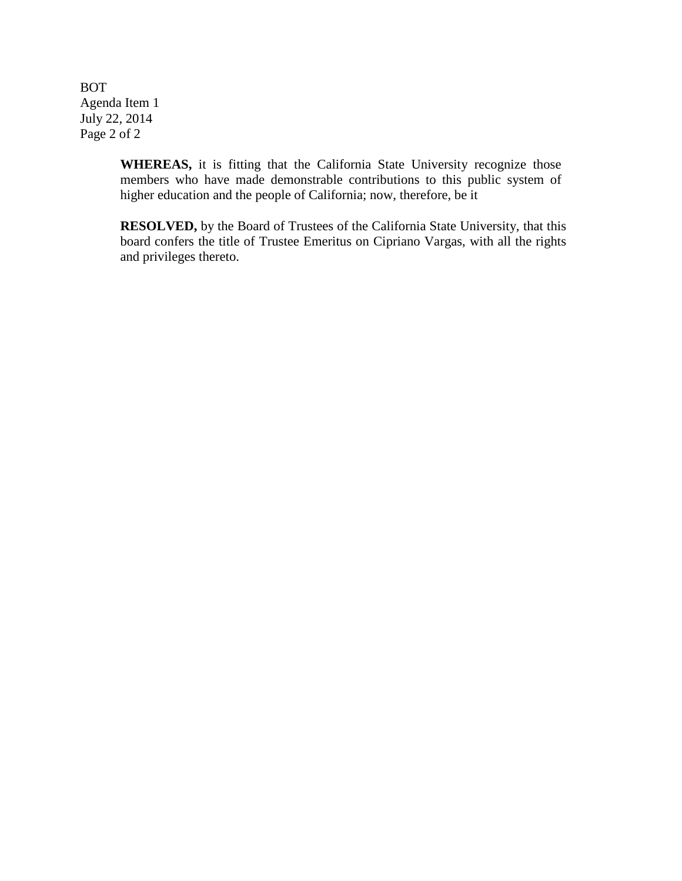BOT Agenda Item 1 July 22, 2014 Page 2 of 2

> **WHEREAS,** it is fitting that the California State University recognize those members who have made demonstrable contributions to this public system of higher education and the people of California; now, therefore, be it

**RESOLVED,** by the Board of Trustees of the California State University, that this board confers the title of Trustee Emeritus on Cipriano Vargas, with all the rights and privileges thereto.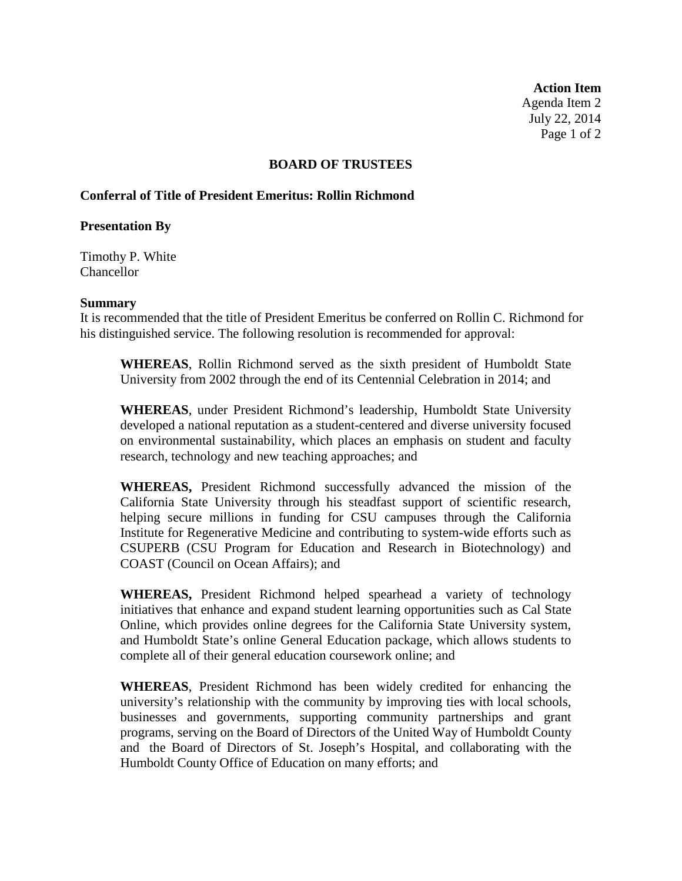**Action Item** Agenda Item 2 July 22, 2014 Page 1 of 2

### **BOARD OF TRUSTEES**

## **Conferral of Title of President Emeritus: Rollin Richmond**

### **Presentation By**

Timothy P. White **Chancellor** 

### **Summary**

It is recommended that the title of President Emeritus be conferred on Rollin C. Richmond for his distinguished service. The following resolution is recommended for approval:

**WHEREAS**, Rollin Richmond served as the sixth president of Humboldt State University from 2002 through the end of its Centennial Celebration in 2014; and

**WHEREAS**, under President Richmond's leadership, Humboldt State University developed a national reputation as a student-centered and diverse university focused on environmental sustainability, which places an emphasis on student and faculty research, technology and new teaching approaches; and

**WHEREAS,** President Richmond successfully advanced the mission of the California State University through his steadfast support of scientific research, helping secure millions in funding for CSU campuses through the California Institute for Regenerative Medicine and contributing to system-wide efforts such as CSUPERB (CSU Program for Education and Research in Biotechnology) and COAST (Council on Ocean Affairs); and

**WHEREAS,** President Richmond helped spearhead a variety of technology initiatives that enhance and expand student learning opportunities such as Cal State Online, which provides online degrees for the California State University system, and Humboldt State's online General Education package, which allows students to complete all of their general education coursework online; and

**WHEREAS**, President Richmond has been widely credited for enhancing the university's relationship with the community by improving ties with local schools, businesses and governments, supporting community partnerships and grant programs, serving on the Board of Directors of the United Way of Humboldt County and the Board of Directors of St. Joseph's Hospital, and collaborating with the Humboldt County Office of Education on many efforts; and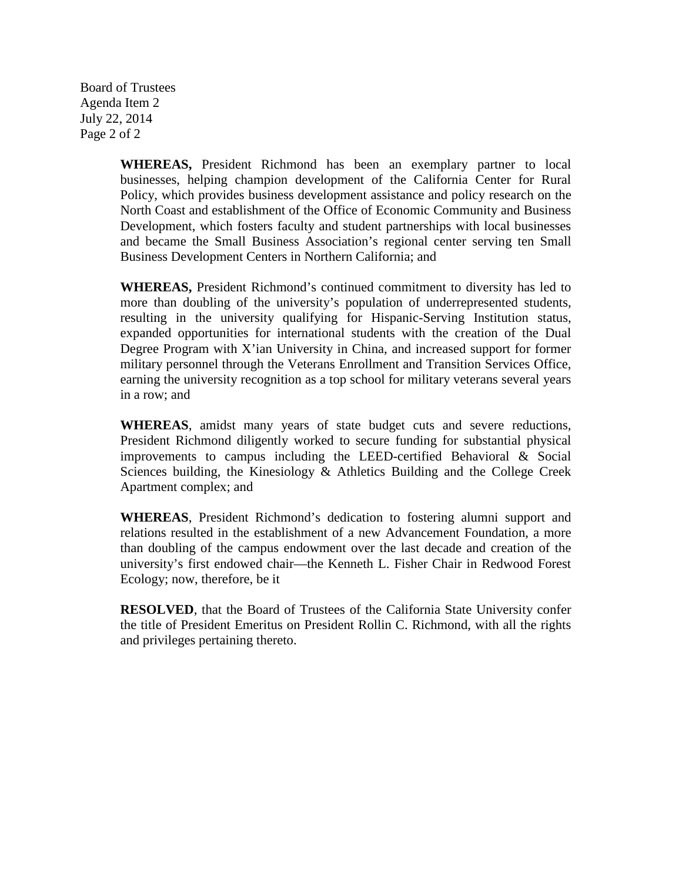Board of Trustees Agenda Item 2 July 22, 2014 Page 2 of 2

> **WHEREAS,** President Richmond has been an exemplary partner to local businesses, helping champion development of the California Center for Rural Policy, which provides business development assistance and policy research on the North Coast and establishment of the Office of Economic Community and Business Development, which fosters faculty and student partnerships with local businesses and became the Small Business Association's regional center serving ten Small Business Development Centers in Northern California; and

> **WHEREAS,** President Richmond's continued commitment to diversity has led to more than doubling of the university's population of underrepresented students, resulting in the university qualifying for Hispanic-Serving Institution status, expanded opportunities for international students with the creation of the Dual Degree Program with X'ian University in China, and increased support for former military personnel through the Veterans Enrollment and Transition Services Office, earning the university recognition as a top school for military veterans several years in a row; and

> **WHEREAS**, amidst many years of state budget cuts and severe reductions, President Richmond diligently worked to secure funding for substantial physical improvements to campus including the LEED-certified Behavioral & Social Sciences building, the Kinesiology & Athletics Building and the College Creek Apartment complex; and

> **WHEREAS**, President Richmond's dedication to fostering alumni support and relations resulted in the establishment of a new Advancement Foundation, a more than doubling of the campus endowment over the last decade and creation of the university's first endowed chair—the Kenneth L. Fisher Chair in Redwood Forest Ecology; now, therefore, be it

> **RESOLVED**, that the Board of Trustees of the California State University confer the title of President Emeritus on President Rollin C. Richmond, with all the rights and privileges pertaining thereto.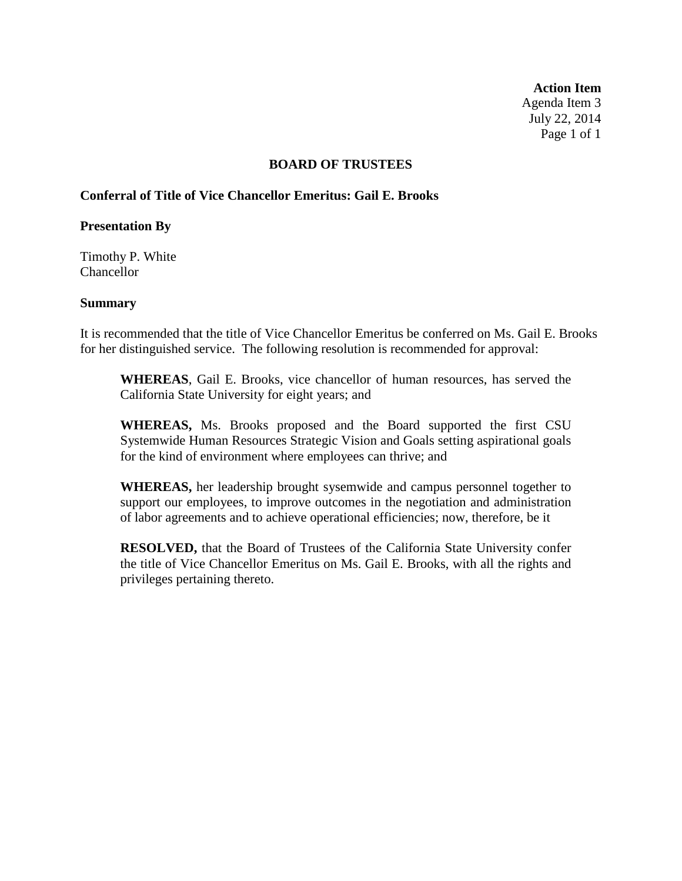**Action Item** Agenda Item 3 July 22, 2014 Page 1 of 1

### **BOARD OF TRUSTEES**

## **Conferral of Title of Vice Chancellor Emeritus: Gail E. Brooks**

### **Presentation By**

Timothy P. White Chancellor

### **Summary**

It is recommended that the title of Vice Chancellor Emeritus be conferred on Ms. Gail E. Brooks for her distinguished service. The following resolution is recommended for approval:

**WHEREAS**, Gail E. Brooks, vice chancellor of human resources, has served the California State University for eight years; and

**WHEREAS,** Ms. Brooks proposed and the Board supported the first CSU Systemwide Human Resources Strategic Vision and Goals setting aspirational goals for the kind of environment where employees can thrive; and

**WHEREAS,** her leadership brought sysemwide and campus personnel together to support our employees, to improve outcomes in the negotiation and administration of labor agreements and to achieve operational efficiencies; now, therefore, be it

**RESOLVED,** that the Board of Trustees of the California State University confer the title of Vice Chancellor Emeritus on Ms. Gail E. Brooks, with all the rights and privileges pertaining thereto.